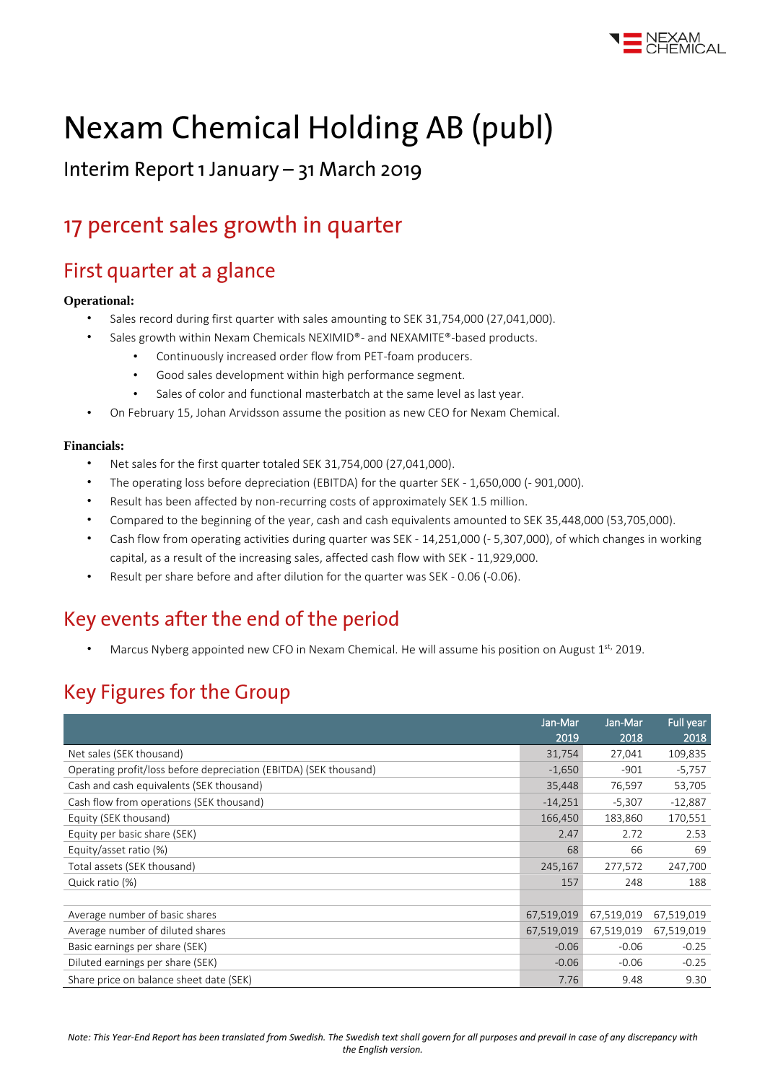

# **Nexam Chemical Holding AB (publ)**

Interim Report 1 January - 31 March 2019

# 17 percent sales growth in quarter

### First quarter at a glance

#### **Operational:**

- Sales record during first quarter with sales amounting to SEK 31,754,000 (27,041,000).
	- Sales growth within Nexam Chemicals NEXIMID®- and NEXAMITE®-based products.
		- Continuously increased order flow from PET-foam producers.
		- Good sales development within high performance segment.
		- Sales of color and functional masterbatch at the same level as last year.
- On February 15, Johan Arvidsson assume the position as new CEO for Nexam Chemical.

#### **Financials:**

- Net sales for the first quarter totaled SEK 31,754,000 (27,041,000).
- The operating loss before depreciation (EBITDA) for the quarter SEK 1,650,000 (- 901,000).
- Result has been affected by non-recurring costs of approximately SEK 1.5 million.
- Compared to the beginning of the year, cash and cash equivalents amounted to SEK 35,448,000 (53,705,000).
- Cash flow from operating activities during quarter was SEK 14,251,000 (- 5,307,000), of which changes in working capital, as a result of the increasing sales, affected cash flow with SEK - 11,929,000.
- Result per share before and after dilution for the quarter was SEK 0.06 (-0.06).

### Key events after the end of the period

Marcus Nyberg appointed new CFO in Nexam Chemical. He will assume his position on August 1st, 2019.

### **Key Figures for the Group**

|                                                                   | Jan-Mar    | Jan-Mar    | Full year  |
|-------------------------------------------------------------------|------------|------------|------------|
|                                                                   | 2019       | 2018       | 2018       |
| Net sales (SEK thousand)                                          | 31,754     | 27,041     | 109,835    |
| Operating profit/loss before depreciation (EBITDA) (SEK thousand) | $-1,650$   | $-901$     | $-5,757$   |
| Cash and cash equivalents (SEK thousand)                          | 35,448     | 76,597     | 53,705     |
| Cash flow from operations (SEK thousand)                          | $-14,251$  | $-5,307$   | $-12,887$  |
| Equity (SEK thousand)                                             | 166,450    | 183,860    | 170,551    |
| Equity per basic share (SEK)                                      | 2.47       | 2.72       | 2.53       |
| Equity/asset ratio (%)                                            | 68         | 66         | 69         |
| Total assets (SEK thousand)                                       | 245,167    | 277,572    | 247,700    |
| Quick ratio (%)                                                   | 157        | 248        | 188        |
|                                                                   |            |            |            |
| Average number of basic shares                                    | 67,519,019 | 67,519,019 | 67,519,019 |
| Average number of diluted shares                                  | 67,519,019 | 67,519,019 | 67,519,019 |
| Basic earnings per share (SEK)                                    | $-0.06$    | $-0.06$    | $-0.25$    |
| Diluted earnings per share (SEK)                                  | $-0.06$    | $-0.06$    | $-0.25$    |
| Share price on balance sheet date (SEK)                           | 7.76       | 9.48       | 9.30       |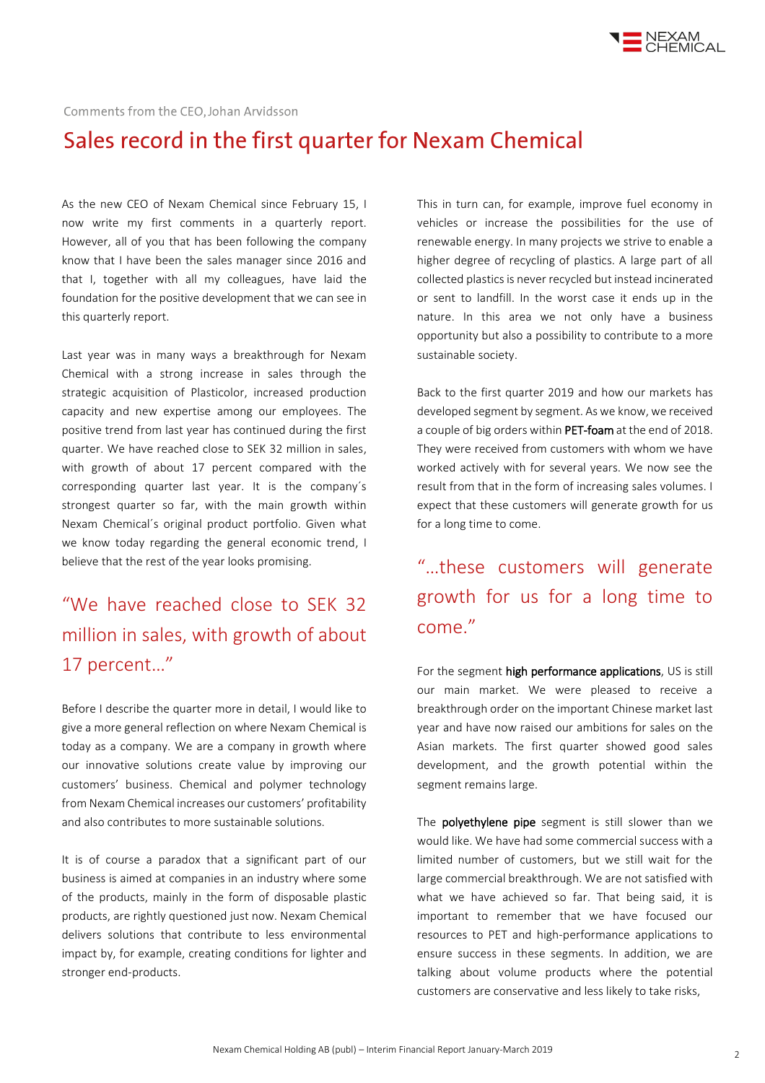

Comments from the CEO, Johan Arvidsson

### Sales record in the first quarter for Nexam Chemical

As the new CEO of Nexam Chemical since February 15, I now write my first comments in a quarterly report. However, all of you that has been following the company know that I have been the sales manager since 2016 and that I, together with all my colleagues, have laid the foundation for the positive development that we can see in this quarterly report.

Last year was in many ways a breakthrough for Nexam Chemical with a strong increase in sales through the strategic acquisition of Plasticolor, increased production capacity and new expertise among our employees. The positive trend from last year has continued during the first quarter. We have reached close to SEK 32 million in sales, with growth of about 17 percent compared with the corresponding quarter last year. It is the company´s strongest quarter so far, with the main growth within Nexam Chemical´s original product portfolio. Given what we know today regarding the general economic trend, I believe that the rest of the year looks promising.

### "We have reached close to SEK 32 million in sales, with growth of about 17 percent…"

Before I describe the quarter more in detail, I would like to give a more general reflection on where Nexam Chemical is today as a company. We are a company in growth where our innovative solutions create value by improving our customers' business. Chemical and polymer technology from Nexam Chemical increases our customers' profitability and also contributes to more sustainable solutions.

It is of course a paradox that a significant part of our business is aimed at companies in an industry where some of the products, mainly in the form of disposable plastic products, are rightly questioned just now. Nexam Chemical delivers solutions that contribute to less environmental impact by, for example, creating conditions for lighter and stronger end-products.

This in turn can, for example, improve fuel economy in vehicles or increase the possibilities for the use of renewable energy. In many projects we strive to enable a higher degree of recycling of plastics. A large part of all collected plastics is never recycled but instead incinerated or sent to landfill. In the worst case it ends up in the nature. In this area we not only have a business opportunity but also a possibility to contribute to a more sustainable society.

Back to the first quarter 2019 and how our markets has developed segment by segment. As we know, we received a couple of big orders within PET-foam at the end of 2018. They were received from customers with whom we have worked actively with for several years. We now see the result from that in the form of increasing sales volumes. I expect that these customers will generate growth for us for a long time to come.

### "…these customers will generate growth for us for a long time to come."

For the segment high performance applications, US is still our main market. We were pleased to receive a breakthrough order on the important Chinese market last year and have now raised our ambitions for sales on the Asian markets. The first quarter showed good sales development, and the growth potential within the segment remains large.

The **polyethylene pipe** segment is still slower than we would like. We have had some commercial success with a limited number of customers, but we still wait for the large commercial breakthrough. We are not satisfied with what we have achieved so far. That being said, it is important to remember that we have focused our resources to PET and high-performance applications to ensure success in these segments. In addition, we are talking about volume products where the potential customers are conservative and less likely to take risks,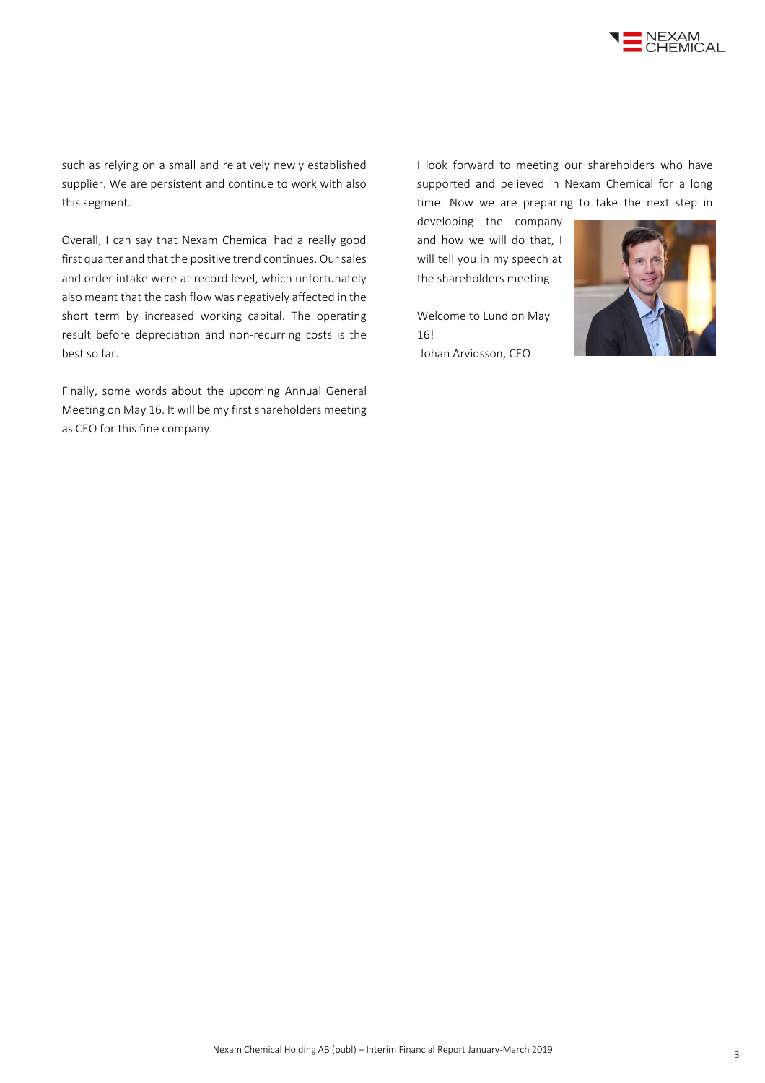

such as relying on a small and relatively newly established supplier. We are persistent and continue to work with also this segment.

Overall, I can say that Nexam Chemical had a really good first quarter and that the positive trend continues. Our sales and order intake were at record level, which unfortunately also meant that the cash flow was negatively affected in the short term by increased working capital. The operating result before depreciation and non-recurring costs is the best so far.

Finally, some words about the upcoming Annual General Meeting on May 16. It will be my first shareholders meeting as CEO for this fine company.

I look forward to meeting our shareholders who have supported and believed in Nexam Chemical for a long time. Now we are preparing to take the next step in

developing the company and how we will do that, I will tell you in my speech at the shareholders meeting.

Welcome to Lund on May 16! Johan Arvidsson, CEO

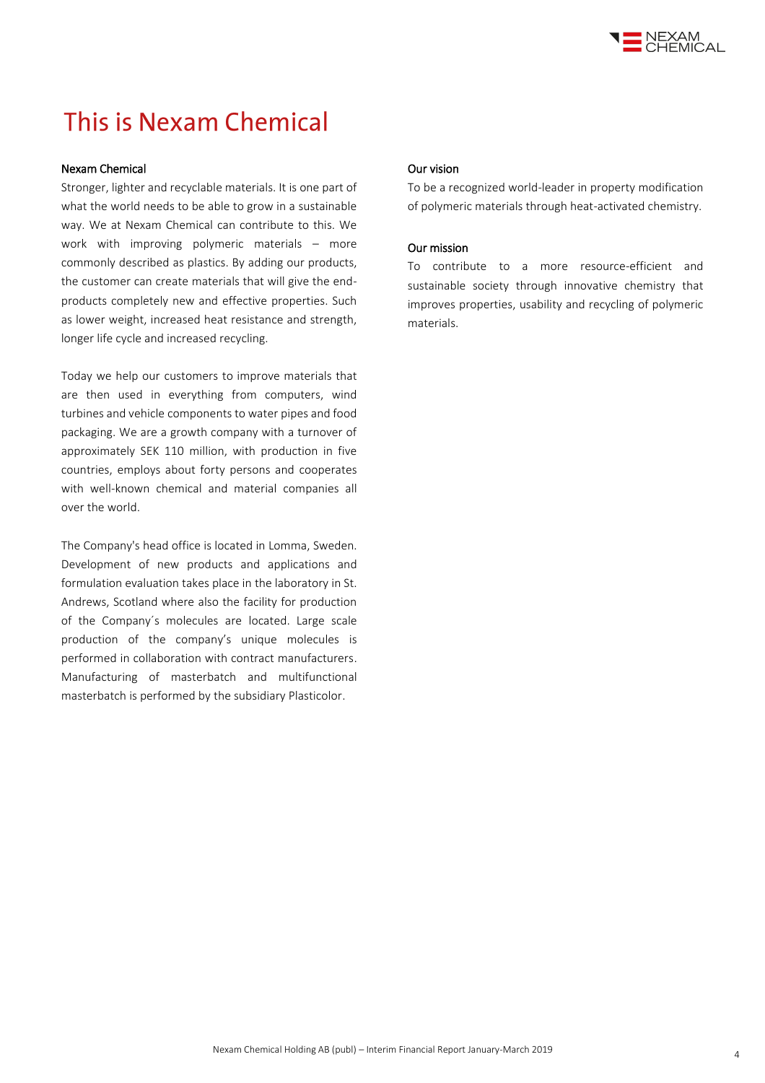

## This is Nexam Chemical

#### Nexam Chemical

Stronger, lighter and recyclable materials. It is one part of what the world needs to be able to grow in a sustainable way. We at Nexam Chemical can contribute to this. We work with improving polymeric materials – more commonly described as plastics. By adding our products, the customer can create materials that will give the endproducts completely new and effective properties. Such as lower weight, increased heat resistance and strength, longer life cycle and increased recycling.

Today we help our customers to improve materials that are then used in everything from computers, wind turbines and vehicle components to water pipes and food packaging. We are a growth company with a turnover of approximately SEK 110 million, with production in five countries, employs about forty persons and cooperates with well-known chemical and material companies all over the world.

The Company's head office is located in Lomma, Sweden. Development of new products and applications and formulation evaluation takes place in the laboratory in St. Andrews, Scotland where also the facility for production of the Company´s molecules are located. Large scale production of the company's unique molecules is performed in collaboration with contract manufacturers. Manufacturing of masterbatch and multifunctional masterbatch is performed by the subsidiary Plasticolor.

#### Our vision

To be a recognized world-leader in property modification of polymeric materials through heat-activated chemistry.

#### Our mission

To contribute to a more resource-efficient and sustainable society through innovative chemistry that improves properties, usability and recycling of polymeric materials.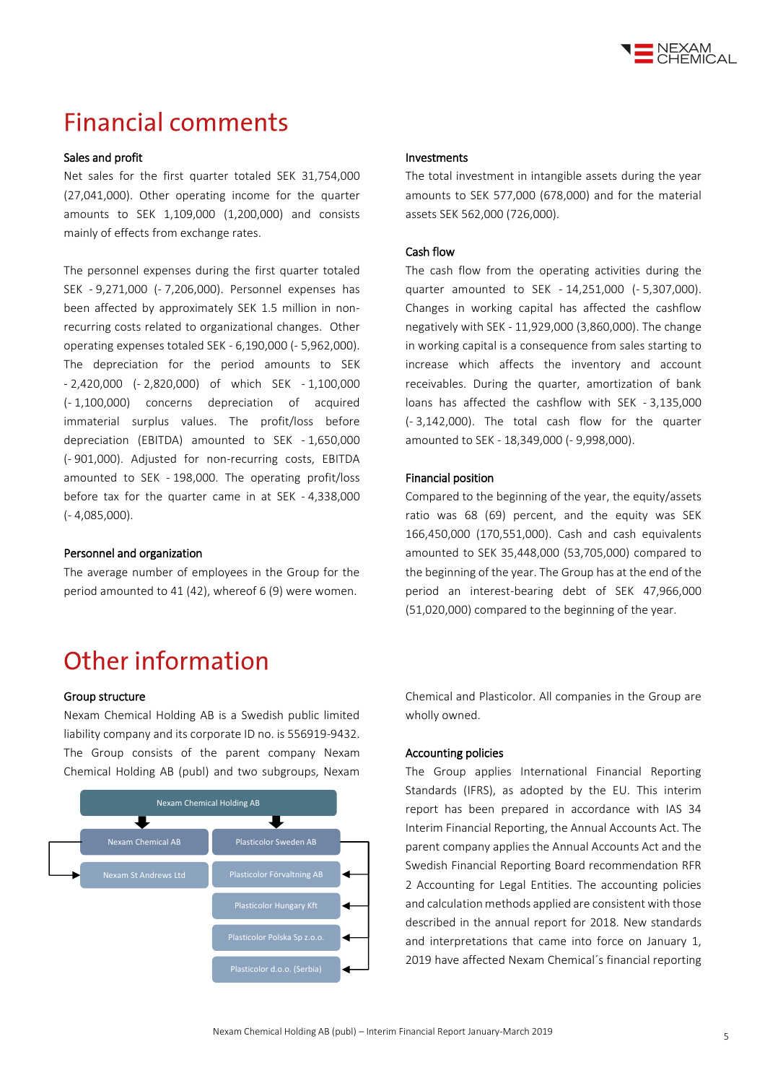

### **Financial comments**

#### Sales and profit

Net sales for the first quarter totaled SEK 31,754,000 (27,041,000). Other operating income for the quarter amounts to SEK 1,109,000 (1,200,000) and consists mainly of effects from exchange rates.

The personnel expenses during the first quarter totaled SEK - 9,271,000 (- 7,206,000). Personnel expenses has been affected by approximately SEK 1.5 million in nonrecurring costs related to organizational changes. Other operating expenses totaled SEK - 6,190,000 (- 5,962,000). The depreciation for the period amounts to SEK - 2,420,000 (- 2,820,000) of which SEK - 1,100,000 (- 1,100,000) concerns depreciation of acquired immaterial surplus values. The profit/loss before depreciation (EBITDA) amounted to SEK - 1,650,000 (- 901,000). Adjusted for non-recurring costs, EBITDA amounted to SEK - 198,000. The operating profit/loss before tax for the quarter came in at SEK - 4,338,000 (- 4,085,000).

#### Personnel and organization

The average number of employees in the Group for the period amounted to 41 (42), whereof 6 (9) were women.

## Other information

#### Group structure

Nexam Chemical Holding AB is a Swedish public limited liability company and its corporate ID no. is 556919-9432. The Group consists of the parent company Nexam Chemical Holding AB (publ) and two subgroups, Nexam



#### Investments

The total investment in intangible assets during the year amounts to SEK 577,000 (678,000) and for the material assets SEK 562,000 (726,000).

#### Cash flow

The cash flow from the operating activities during the quarter amounted to SEK - 14,251,000 (- 5,307,000). Changes in working capital has affected the cashflow negatively with SEK - 11,929,000 (3,860,000). The change in working capital is a consequence from sales starting to increase which affects the inventory and account receivables. During the quarter, amortization of bank loans has affected the cashflow with SEK - 3,135,000 (- 3,142,000). The total cash flow for the quarter amounted to SEK - 18,349,000 (- 9,998,000).

#### Financial position

Compared to the beginning of the year, the equity/assets ratio was 68 (69) percent, and the equity was SEK 166,450,000 (170,551,000). Cash and cash equivalents amounted to SEK 35,448,000 (53,705,000) compared to the beginning of the year. The Group has at the end of the period an interest-bearing debt of SEK 47,966,000 (51,020,000) compared to the beginning of the year.

Chemical and Plasticolor. All companies in the Group are wholly owned.

#### Accounting policies

The Group applies International Financial Reporting Standards (IFRS), as adopted by the EU. This interim report has been prepared in accordance with IAS 34 Interim Financial Reporting, the Annual Accounts Act. The parent company applies the Annual Accounts Act and the Swedish Financial Reporting Board recommendation RFR 2 Accounting for Legal Entities. The accounting policies and calculation methods applied are consistent with those described in the annual report for 2018. New standards and interpretations that came into force on January 1, 2019 have affected Nexam Chemical´s financial reporting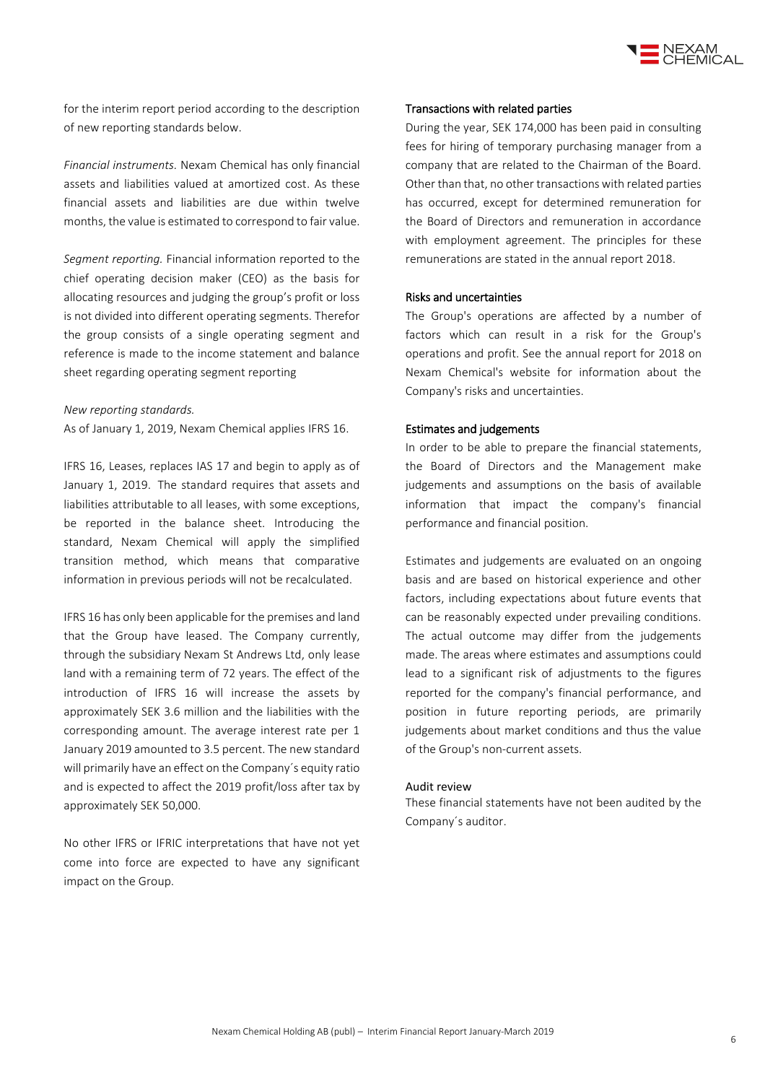

for the interim report period according to the description of new reporting standards below.

*Financial instruments.* Nexam Chemical has only financial assets and liabilities valued at amortized cost. As these financial assets and liabilities are due within twelve months, the value is estimated to correspond to fair value.

*Segment reporting.* Financial information reported to the chief operating decision maker (CEO) as the basis for allocating resources and judging the group's profit or loss is not divided into different operating segments. Therefor the group consists of a single operating segment and reference is made to the income statement and balance sheet regarding operating segment reporting

#### *New reporting standards.*

As of January 1, 2019, Nexam Chemical applies IFRS 16.

IFRS 16, Leases, replaces IAS 17 and begin to apply as of January 1, 2019. The standard requires that assets and liabilities attributable to all leases, with some exceptions, be reported in the balance sheet. Introducing the standard, Nexam Chemical will apply the simplified transition method, which means that comparative information in previous periods will not be recalculated.

IFRS 16 has only been applicable for the premises and land that the Group have leased. The Company currently, through the subsidiary Nexam St Andrews Ltd, only lease land with a remaining term of 72 years. The effect of the introduction of IFRS 16 will increase the assets by approximately SEK 3.6 million and the liabilities with the corresponding amount. The average interest rate per 1 January 2019 amounted to 3.5 percent. The new standard will primarily have an effect on the Company´s equity ratio and is expected to affect the 2019 profit/loss after tax by approximately SEK 50,000.

No other IFRS or IFRIC interpretations that have not yet come into force are expected to have any significant impact on the Group.

#### Transactions with related parties

During the year, SEK 174,000 has been paid in consulting fees for hiring of temporary purchasing manager from a company that are related to the Chairman of the Board. Other than that, no other transactions with related parties has occurred, except for determined remuneration for the Board of Directors and remuneration in accordance with employment agreement. The principles for these remunerations are stated in the annual report 2018.

#### Risks and uncertainties

The Group's operations are affected by a number of factors which can result in a risk for the Group's operations and profit. See the annual report for 2018 on Nexam Chemical's website for information about the Company's risks and uncertainties.

#### Estimates and judgements

In order to be able to prepare the financial statements, the Board of Directors and the Management make judgements and assumptions on the basis of available information that impact the company's financial performance and financial position.

Estimates and judgements are evaluated on an ongoing basis and are based on historical experience and other factors, including expectations about future events that can be reasonably expected under prevailing conditions. The actual outcome may differ from the judgements made. The areas where estimates and assumptions could lead to a significant risk of adjustments to the figures reported for the company's financial performance, and position in future reporting periods, are primarily judgements about market conditions and thus the value of the Group's non-current assets.

#### Audit review

These financial statements have not been audited by the Company´s auditor.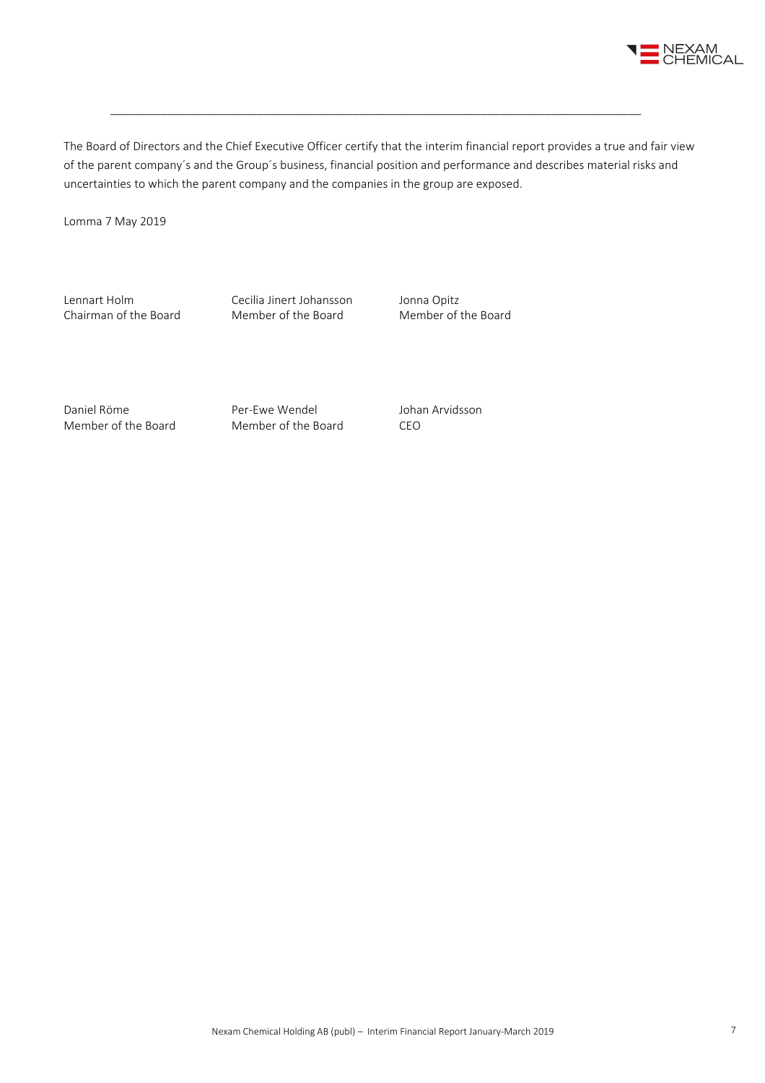

The Board of Directors and the Chief Executive Officer certify that the interim financial report provides a true and fair view of the parent company´s and the Group´s business, financial position and performance and describes material risks and uncertainties to which the parent company and the companies in the group are exposed.

\_\_\_\_\_\_\_\_\_\_\_\_\_\_\_\_\_\_\_\_\_\_\_\_\_\_\_\_\_\_\_\_\_\_\_\_\_\_\_\_\_\_\_\_\_\_\_\_\_\_\_\_\_\_\_\_\_\_\_\_\_\_\_\_\_\_\_\_\_\_\_\_\_\_\_\_\_\_\_\_\_\_\_

Lomma 7 May 2019

Lennart Holm Cecilia Jinert Johansson Jonna Opitz<br>
Chairman of the Board Member of the Board Member of the Board Chairman of the Board

Daniel Röme **Per-Ewe Wendel** Johan Arvidsson Member of the Board Member of the Board CEO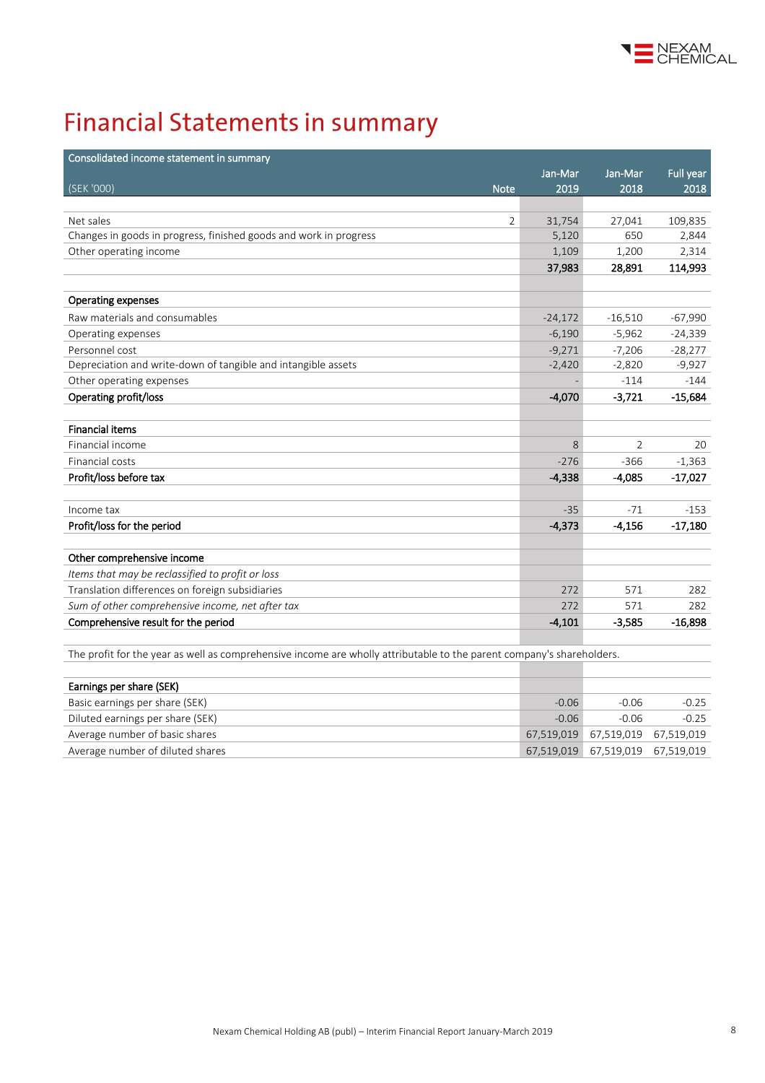

# **Financial Statements in summary**

| Consolidated income statement in summary                                                                              |           |           |           |
|-----------------------------------------------------------------------------------------------------------------------|-----------|-----------|-----------|
|                                                                                                                       | Jan-Mar   | Jan-Mar   | Full year |
| (SEK '000)<br><b>Note</b>                                                                                             | 2019      | 2018      | 2018      |
|                                                                                                                       |           |           |           |
| Net sales<br>2                                                                                                        | 31,754    | 27,041    | 109,835   |
| Changes in goods in progress, finished goods and work in progress                                                     | 5,120     | 650       | 2,844     |
| Other operating income                                                                                                | 1,109     | 1,200     | 2,314     |
|                                                                                                                       | 37,983    | 28,891    | 114,993   |
|                                                                                                                       |           |           |           |
| <b>Operating expenses</b>                                                                                             |           |           |           |
| Raw materials and consumables                                                                                         | $-24,172$ | $-16,510$ | $-67,990$ |
| Operating expenses                                                                                                    | $-6,190$  | $-5,962$  | $-24,339$ |
| Personnel cost                                                                                                        | $-9,271$  | $-7,206$  | $-28,277$ |
| Depreciation and write-down of tangible and intangible assets                                                         | $-2,420$  | $-2,820$  | $-9,927$  |
| Other operating expenses                                                                                              |           | $-114$    | $-144$    |
| Operating profit/loss                                                                                                 | $-4,070$  | $-3,721$  | $-15,684$ |
|                                                                                                                       |           |           |           |
| <b>Financial items</b>                                                                                                |           |           |           |
| Financial income                                                                                                      | 8         | 2         | 20        |
| Financial costs                                                                                                       | $-276$    | $-366$    | $-1,363$  |
| Profit/loss before tax                                                                                                | $-4,338$  | $-4,085$  | $-17,027$ |
|                                                                                                                       |           |           |           |
| Income tax                                                                                                            | $-35$     | $-71$     | $-153$    |
| Profit/loss for the period                                                                                            | $-4,373$  | $-4,156$  | $-17,180$ |
|                                                                                                                       |           |           |           |
| Other comprehensive income                                                                                            |           |           |           |
| Items that may be reclassified to profit or loss                                                                      |           |           |           |
| Translation differences on foreign subsidiaries                                                                       | 272       | 571       | 282       |
| Sum of other comprehensive income, net after tax                                                                      | 272       | 571       | 282       |
| Comprehensive result for the period                                                                                   | $-4,101$  | $-3,585$  | $-16,898$ |
|                                                                                                                       |           |           |           |
| The profit for the year as well as comprehensive income are wholly attributable to the parent company's shareholders. |           |           |           |

| Earnings per share (SEK)         |         |                                  |         |
|----------------------------------|---------|----------------------------------|---------|
| Basic earnings per share (SEK)   | $-0.06$ | $-0.06$                          | $-0.25$ |
| Diluted earnings per share (SEK) | $-0.06$ | $-0.06$                          | $-0.25$ |
| Average number of basic shares   |         | 67,519,019 67,519,019 67,519,019 |         |
| Average number of diluted shares |         | 67,519,019 67,519,019 67,519,019 |         |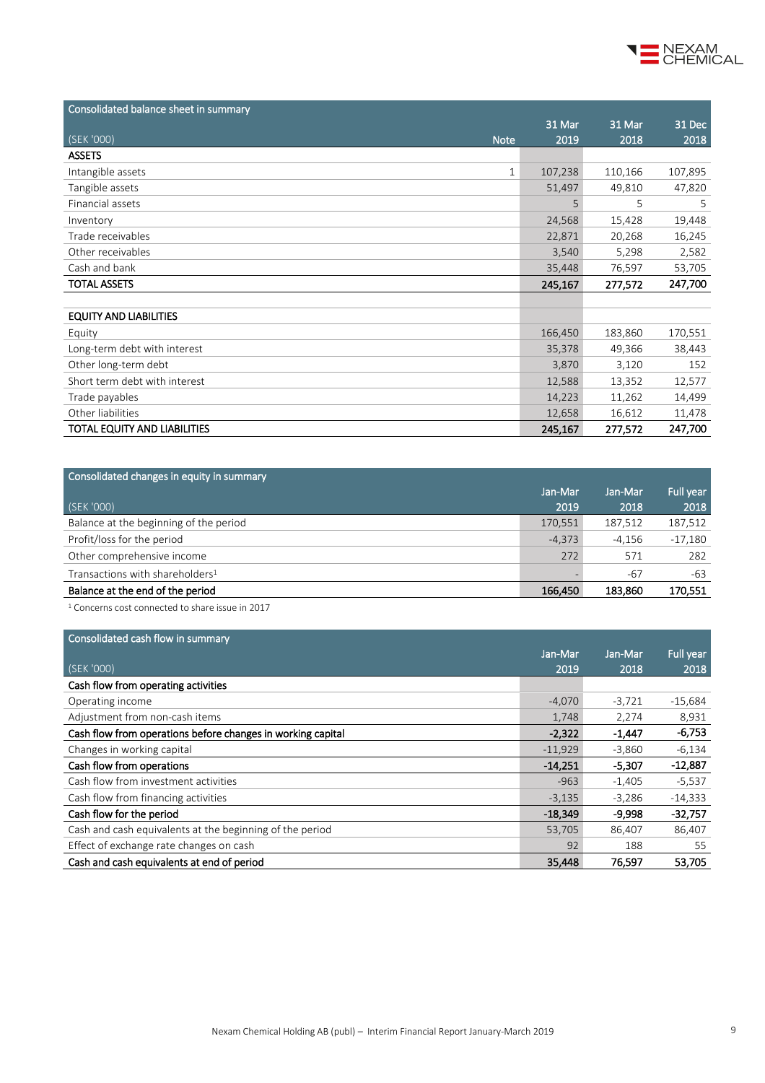

| Consolidated balance sheet in summary |         |         |         |
|---------------------------------------|---------|---------|---------|
|                                       | 31 Mar  | 31 Mar  | 31 Dec  |
| (SEK'000)<br><b>Note</b>              | 2019    | 2018    | 2018    |
| <b>ASSETS</b>                         |         |         |         |
| Intangible assets<br>$\mathbf{1}$     | 107,238 | 110,166 | 107,895 |
| Tangible assets                       | 51,497  | 49,810  | 47,820  |
| Financial assets                      | 5       | 5       | 5       |
| Inventory                             | 24,568  | 15,428  | 19,448  |
| Trade receivables                     | 22,871  | 20,268  | 16,245  |
| Other receivables                     | 3,540   | 5,298   | 2,582   |
| Cash and bank                         | 35,448  | 76,597  | 53,705  |
| <b>TOTAL ASSETS</b>                   | 245,167 | 277,572 | 247,700 |
|                                       |         |         |         |
| <b>EQUITY AND LIABILITIES</b>         |         |         |         |
| Equity                                | 166,450 | 183,860 | 170,551 |
| Long-term debt with interest          | 35,378  | 49,366  | 38,443  |
| Other long-term debt                  | 3,870   | 3,120   | 152     |
| Short term debt with interest         | 12,588  | 13,352  | 12,577  |
| Trade payables                        | 14,223  | 11,262  | 14,499  |
| Other liabilities                     | 12,658  | 16,612  | 11,478  |
| TOTAL EQUITY AND LIABILITIES          | 245,167 | 277,572 | 247,700 |

| Consolidated changes in equity in summary   |          |         |           |
|---------------------------------------------|----------|---------|-----------|
|                                             | Jan-Mar  | Jan-Mar | Full year |
| (SEK '000)                                  | 2019     | 2018    | 2018      |
| Balance at the beginning of the period      | 170,551  | 187,512 | 187,512   |
| Profit/loss for the period                  | $-4.373$ | -4,156  | $-17,180$ |
| Other comprehensive income                  | 272      | 571     | 282       |
| Transactions with shareholders <sup>1</sup> |          | -67     | -63       |
| Balance at the end of the period            | 166,450  | 183,860 | 170,551   |

<sup>1</sup> Concerns cost connected to share issue in 2017

| Consolidated cash flow in summary                           |           |          |           |
|-------------------------------------------------------------|-----------|----------|-----------|
|                                                             | Jan-Mar   | Jan-Mar  | Full year |
| (SEK '000)                                                  | 2019      | 2018     | 2018      |
| Cash flow from operating activities                         |           |          |           |
| Operating income                                            | $-4,070$  | $-3,721$ | $-15,684$ |
| Adjustment from non-cash items                              | 1,748     | 2,274    | 8,931     |
| Cash flow from operations before changes in working capital | $-2,322$  | $-1,447$ | $-6,753$  |
| Changes in working capital                                  | $-11,929$ | $-3,860$ | $-6,134$  |
| Cash flow from operations                                   | $-14,251$ | $-5,307$ | $-12,887$ |
| Cash flow from investment activities                        | $-963$    | $-1.405$ | $-5,537$  |
| Cash flow from financing activities                         | $-3,135$  | $-3,286$ | $-14,333$ |
| Cash flow for the period                                    | $-18,349$ | $-9,998$ | $-32,757$ |
| Cash and cash equivalents at the beginning of the period    | 53,705    | 86,407   | 86,407    |
| Effect of exchange rate changes on cash                     | 92        | 188      | 55        |
| Cash and cash equivalents at end of period                  | 35,448    | 76,597   | 53,705    |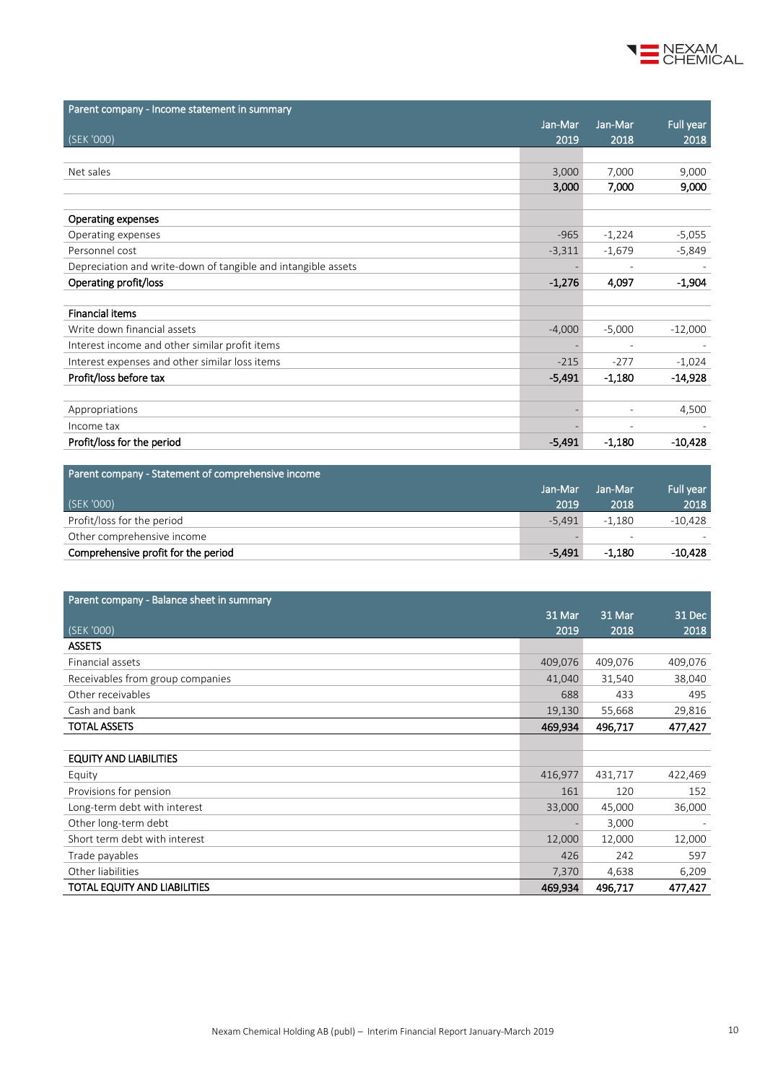

| Parent company - Income statement in summary                  |          |                          |           |
|---------------------------------------------------------------|----------|--------------------------|-----------|
|                                                               | Jan-Mar  | Jan-Mar                  | Full year |
| (SEK '000)                                                    | 2019     | 2018                     | 2018      |
|                                                               |          |                          |           |
| Net sales                                                     | 3,000    | 7,000                    | 9,000     |
|                                                               | 3,000    | 7,000                    | 9,000     |
|                                                               |          |                          |           |
| <b>Operating expenses</b>                                     |          |                          |           |
| Operating expenses                                            | $-965$   | $-1,224$                 | $-5,055$  |
| Personnel cost                                                | $-3,311$ | $-1,679$                 | $-5,849$  |
| Depreciation and write-down of tangible and intangible assets |          |                          |           |
| Operating profit/loss                                         | $-1,276$ | 4,097                    | $-1,904$  |
|                                                               |          |                          |           |
| <b>Financial items</b>                                        |          |                          |           |
| Write down financial assets                                   | $-4,000$ | $-5,000$                 | $-12,000$ |
| Interest income and other similar profit items                |          |                          |           |
| Interest expenses and other similar loss items                | $-215$   | $-277$                   | $-1,024$  |
| Profit/loss before tax                                        | $-5,491$ | $-1,180$                 | $-14,928$ |
|                                                               |          |                          |           |
| Appropriations                                                |          | $\overline{\phantom{0}}$ | 4,500     |
| Income tax                                                    |          |                          |           |
| Profit/loss for the period                                    | $-5,491$ | $-1,180$                 | $-10,428$ |

| Parent company - Statement of comprehensive income |          |                          |           |
|----------------------------------------------------|----------|--------------------------|-----------|
|                                                    | Jan-Mar  | Jan-Mar                  | Full year |
| (SEK '000)                                         | 2019     | 2018                     | 2018      |
| Profit/loss for the period                         | $-5.491$ | $-1.180$                 | $-10,428$ |
| Other comprehensive income                         |          | $\overline{\phantom{a}}$ |           |
| Comprehensive profit for the period                | -5.491   | $-1.180$                 | -10.428   |

| Parent company - Balance sheet in summary |         |         |         |
|-------------------------------------------|---------|---------|---------|
|                                           | 31 Mar  | 31 Mar  | 31 Dec  |
| (SEK '000)                                | 2019    | 2018    | 2018    |
| <b>ASSETS</b>                             |         |         |         |
| Financial assets                          | 409,076 | 409,076 | 409,076 |
| Receivables from group companies          | 41,040  | 31,540  | 38,040  |
| Other receivables                         | 688     | 433     | 495     |
| Cash and bank                             | 19,130  | 55,668  | 29,816  |
| <b>TOTAL ASSETS</b>                       | 469,934 | 496,717 | 477,427 |
|                                           |         |         |         |
| <b>EQUITY AND LIABILITIES</b>             |         |         |         |
| Equity                                    | 416,977 | 431,717 | 422,469 |
| Provisions for pension                    | 161     | 120     | 152     |
| Long-term debt with interest              | 33,000  | 45,000  | 36,000  |
| Other long-term debt                      |         | 3,000   |         |
| Short term debt with interest             | 12,000  | 12,000  | 12,000  |
| Trade payables                            | 426     | 242     | 597     |
| Other liabilities                         | 7,370   | 4,638   | 6,209   |
| TOTAL EQUITY AND LIABILITIES              | 469,934 | 496,717 | 477,427 |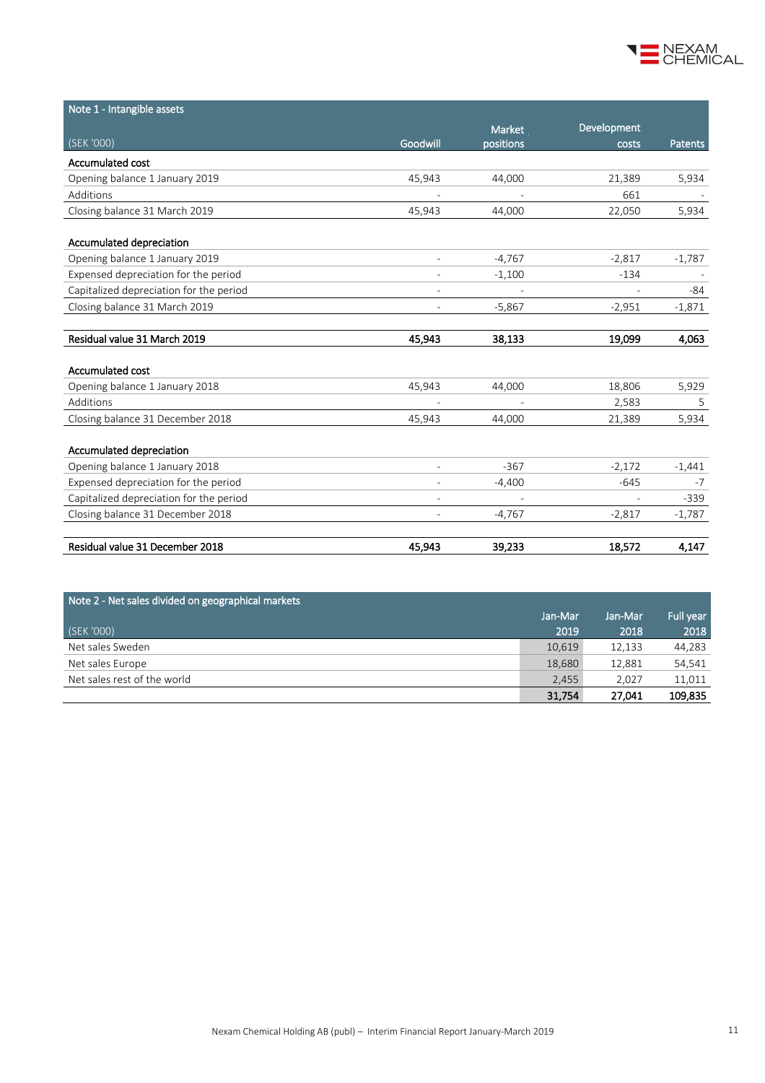

| Note 1 - Intangible assets              |                          |           |             |                |
|-----------------------------------------|--------------------------|-----------|-------------|----------------|
|                                         |                          | Market    | Development |                |
| (SEK '000)                              | Goodwill                 | positions | costs       | <b>Patents</b> |
| Accumulated cost                        |                          |           |             |                |
| Opening balance 1 January 2019          | 45,943                   | 44,000    | 21,389      | 5,934          |
| Additions                               |                          |           | 661         |                |
| Closing balance 31 March 2019           | 45,943                   | 44,000    | 22,050      | 5,934          |
| Accumulated depreciation                |                          |           |             |                |
| Opening balance 1 January 2019          |                          | $-4,767$  | $-2,817$    | $-1,787$       |
| Expensed depreciation for the period    |                          | $-1,100$  | $-134$      |                |
| Capitalized depreciation for the period | $\overline{\phantom{a}}$ |           |             | -84            |
| Closing balance 31 March 2019           |                          | $-5,867$  | $-2,951$    | $-1,871$       |
|                                         |                          |           |             |                |
| Residual value 31 March 2019            | 45,943                   | 38,133    | 19,099      | 4,063          |
| Accumulated cost                        |                          |           |             |                |
| Opening balance 1 January 2018          | 45,943                   | 44,000    | 18,806      | 5,929          |
| Additions                               |                          |           | 2,583       | 5              |
| Closing balance 31 December 2018        | 45,943                   | 44.000    | 21,389      | 5,934          |
| Accumulated depreciation                |                          |           |             |                |
| Opening balance 1 January 2018          | $\overline{\phantom{a}}$ | $-367$    | $-2,172$    | $-1,441$       |
| Expensed depreciation for the period    |                          | $-4,400$  | $-645$      | $-7$           |
| Capitalized depreciation for the period |                          |           |             | $-339$         |
| Closing balance 31 December 2018        | $\overline{\phantom{a}}$ | $-4,767$  | $-2,817$    | $-1,787$       |
| Residual value 31 December 2018         | 45,943                   | 39,233    | 18,572      | 4,147          |

| Note 2 - Net sales divided on geographical markets |         |         |           |
|----------------------------------------------------|---------|---------|-----------|
|                                                    | Jan-Mar | Jan-Mar | Full year |
| (SEK '000)                                         | 2019    | 2018    | 2018      |
| Net sales Sweden                                   | 10,619  | 12,133  | 44,283    |
| Net sales Europe                                   | 18,680  | 12,881  | 54,541    |
| Net sales rest of the world                        | 2.455   | 2.027   | 11,011    |
|                                                    | 31,754  | 27,041  | 109,835   |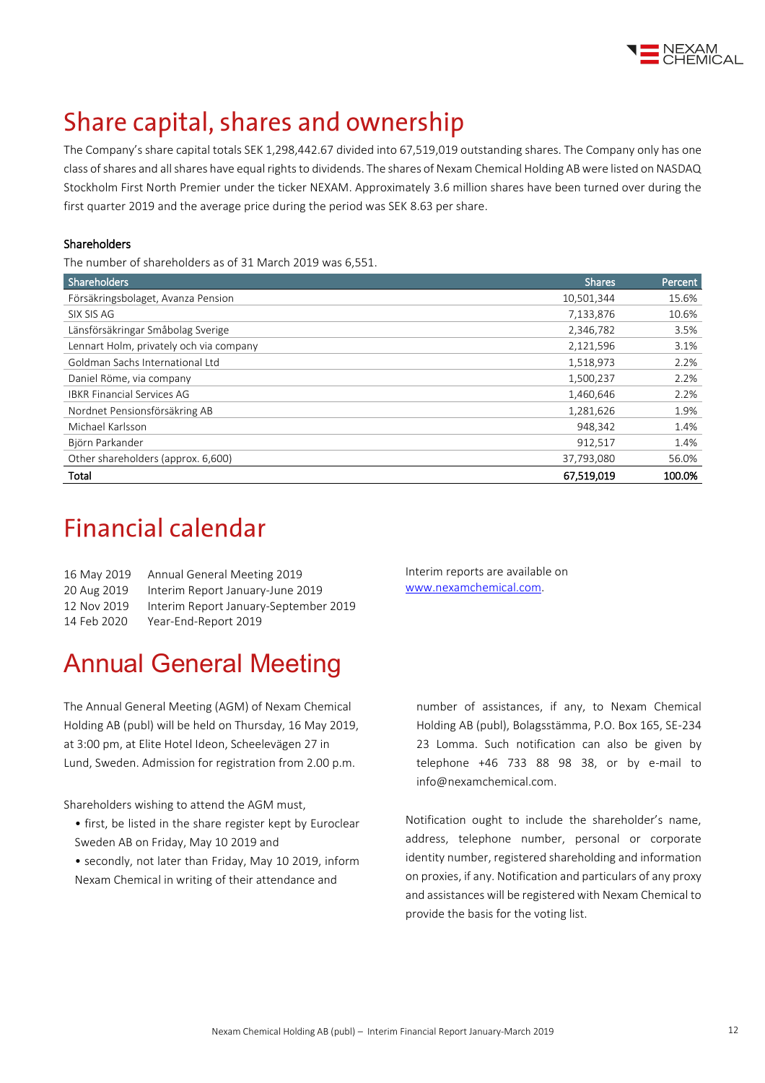

# Share capital, shares and ownership

The Company's share capital totals SEK 1,298,442.67 divided into 67,519,019 outstanding shares. The Company only has one class of shares and all shares have equal rights to dividends. The shares of Nexam Chemical Holding AB were listed on NASDAQ Stockholm First North Premier under the ticker NEXAM. Approximately 3.6 million shares have been turned over during the first quarter 2019 and the average price during the period was SEK 8.63 per share.

#### Shareholders

The number of shareholders as of 31 March 2019 was 6,551.

| Shareholders                            | <b>Shares</b> | Percent |
|-----------------------------------------|---------------|---------|
| Försäkringsbolaget, Avanza Pension      | 10,501,344    | 15.6%   |
| SIX SIS AG                              | 7,133,876     | 10.6%   |
| Länsförsäkringar Småbolag Sverige       | 2,346,782     | 3.5%    |
| Lennart Holm, privately och via company | 2,121,596     | 3.1%    |
| Goldman Sachs International Ltd         | 1,518,973     | 2.2%    |
| Daniel Röme, via company                | 1,500,237     | 2.2%    |
| <b>IBKR Financial Services AG</b>       | 1,460,646     | 2.2%    |
| Nordnet Pensionsförsäkring AB           | 1,281,626     | 1.9%    |
| Michael Karlsson                        | 948,342       | 1.4%    |
| Björn Parkander                         | 912,517       | 1.4%    |
| Other shareholders (approx. 6,600)      | 37,793,080    | 56.0%   |
| Total                                   | 67,519,019    | 100.0%  |

## **Financial calendar**

| 16 May 2019 | Annual General Meeting 2019           |
|-------------|---------------------------------------|
| 20 Aug 2019 | Interim Report January-June 2019      |
| 12 Nov 2019 | Interim Report January-September 2019 |
| 14 Feb 2020 | Year-End-Report 2019                  |

# Annual General Meeting

The Annual General Meeting (AGM) of Nexam Chemical Holding AB (publ) will be held on Thursday, 16 May 2019, at 3:00 pm, at Elite Hotel Ideon, Scheelevägen 27 in Lund, Sweden. Admission for registration from 2.00 p.m.

Shareholders wishing to attend the AGM must,

- first, be listed in the share register kept by Euroclear Sweden AB on Friday, May 10 2019 and
- secondly, not later than Friday, May 10 2019, inform Nexam Chemical in writing of their attendance and

Interim reports are available on [www.nexamchemical.com.](http://www.nexamchemical.com/)

number of assistances, if any, to Nexam Chemical Holding AB (publ), Bolagsstämma, P.O. Box 165, SE-234 23 Lomma. Such notification can also be given by telephone +46 733 88 98 38, or by e-mail to info@nexamchemical.com.

Notification ought to include the shareholder's name, address, telephone number, personal or corporate identity number, registered shareholding and information on proxies, if any. Notification and particulars of any proxy and assistances will be registered with Nexam Chemical to provide the basis for the voting list.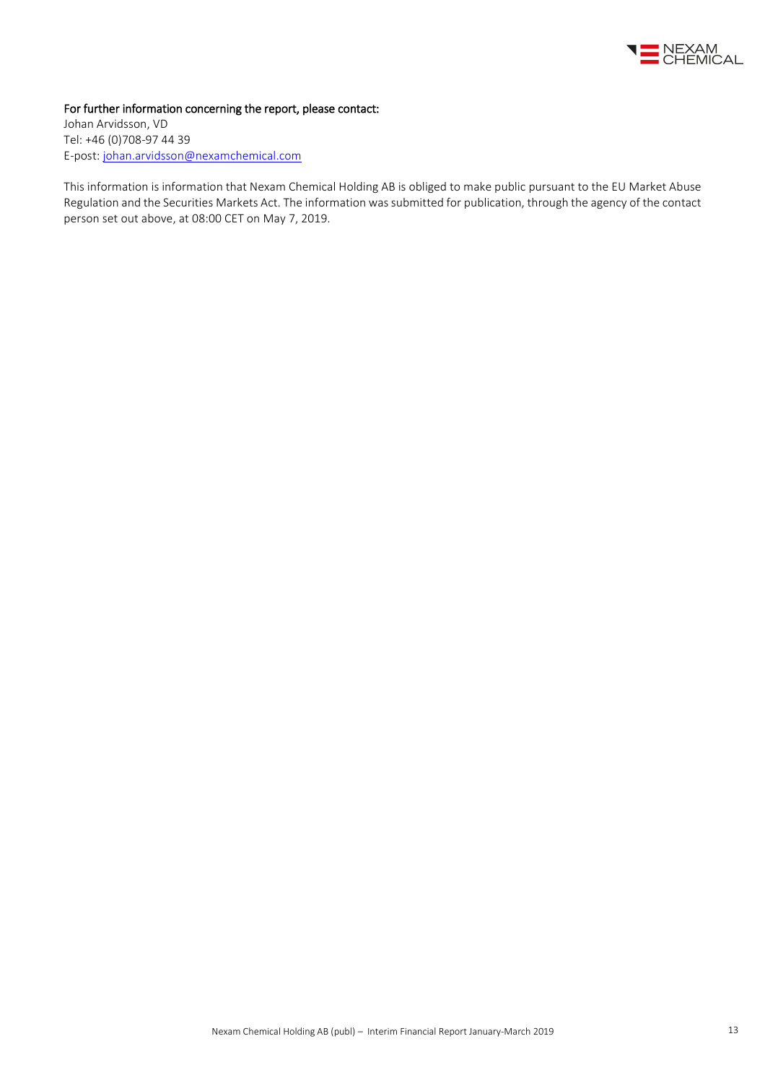

#### For further information concerning the report, please contact:

Johan Arvidsson, VD Tel: +46 (0)708-97 44 39 E-post: [johan.arvidsson@nexamchemical.com](mailto:johan.arvidsson@nexamchemical.com)

This information is information that Nexam Chemical Holding AB is obliged to make public pursuant to the EU Market Abuse Regulation and the Securities Markets Act. The information was submitted for publication, through the agency of the contact person set out above, at 08:00 CET on May 7, 2019.